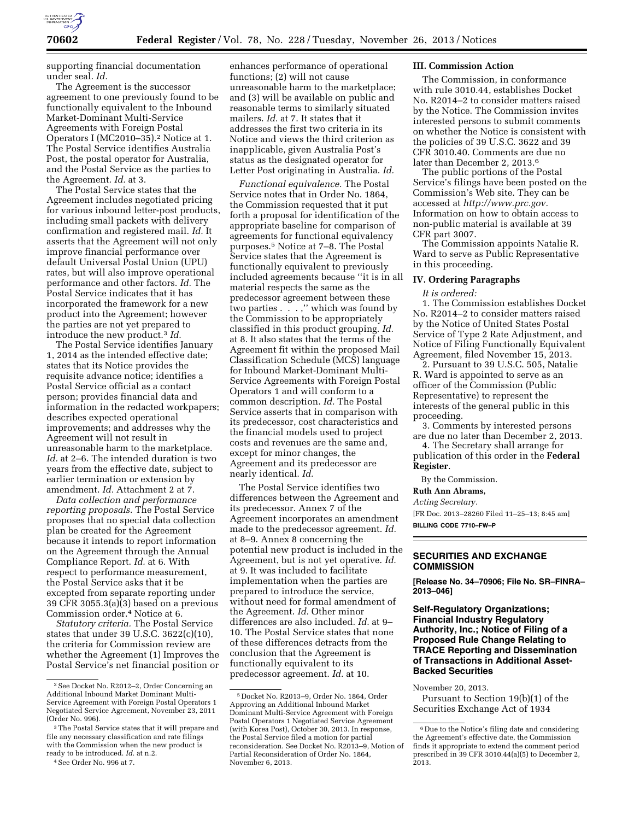

supporting financial documentation under seal. *Id.* 

The Agreement is the successor agreement to one previously found to be functionally equivalent to the Inbound Market-Dominant Multi-Service Agreements with Foreign Postal Operators I (MC2010–35).2 Notice at 1. The Postal Service identifies Australia Post, the postal operator for Australia, and the Postal Service as the parties to the Agreement. *Id.* at 3.

The Postal Service states that the Agreement includes negotiated pricing for various inbound letter-post products, including small packets with delivery confirmation and registered mail. *Id.* It asserts that the Agreement will not only improve financial performance over default Universal Postal Union (UPU) rates, but will also improve operational performance and other factors. *Id.* The Postal Service indicates that it has incorporated the framework for a new product into the Agreement; however the parties are not yet prepared to introduce the new product.3 *Id.* 

The Postal Service identifies January 1, 2014 as the intended effective date; states that its Notice provides the requisite advance notice; identifies a Postal Service official as a contact person; provides financial data and information in the redacted workpapers; describes expected operational improvements; and addresses why the Agreement will not result in unreasonable harm to the marketplace. *Id.* at 2–6. The intended duration is two years from the effective date, subject to earlier termination or extension by amendment. *Id.* Attachment 2 at 7.

*Data collection and performance reporting proposals.* The Postal Service proposes that no special data collection plan be created for the Agreement because it intends to report information on the Agreement through the Annual Compliance Report. *Id.* at 6. With respect to performance measurement, the Postal Service asks that it be excepted from separate reporting under 39 CFR 3055.3(a)(3) based on a previous Commission order.4 Notice at 6.

*Statutory criteria.* The Postal Service states that under 39 U.S.C. 3622(c)(10), the criteria for Commission review are whether the Agreement (1) Improves the Postal Service's net financial position or

4See Order No. 996 at 7.

enhances performance of operational functions; (2) will not cause unreasonable harm to the marketplace; and (3) will be available on public and reasonable terms to similarly situated mailers. *Id.* at 7. It states that it addresses the first two criteria in its Notice and views the third criterion as inapplicable, given Australia Post's status as the designated operator for Letter Post originating in Australia. *Id.* 

*Functional equivalence.* The Postal Service notes that in Order No. 1864, the Commission requested that it put forth a proposal for identification of the appropriate baseline for comparison of agreements for functional equivalency purposes.5 Notice at 7–8. The Postal Service states that the Agreement is functionally equivalent to previously included agreements because ''it is in all material respects the same as the predecessor agreement between these two parties . . . ,'' which was found by the Commission to be appropriately classified in this product grouping. *Id.*  at 8. It also states that the terms of the Agreement fit within the proposed Mail Classification Schedule (MCS) language for Inbound Market-Dominant Multi-Service Agreements with Foreign Postal Operators 1 and will conform to a common description. *Id.* The Postal Service asserts that in comparison with its predecessor, cost characteristics and the financial models used to project costs and revenues are the same and, except for minor changes, the Agreement and its predecessor are nearly identical. *Id.* 

The Postal Service identifies two differences between the Agreement and its predecessor. Annex 7 of the Agreement incorporates an amendment made to the predecessor agreement. *Id.*  at 8–9. Annex 8 concerning the potential new product is included in the Agreement, but is not yet operative. *Id.*  at 9. It was included to facilitate implementation when the parties are prepared to introduce the service, without need for formal amendment of the Agreement. *Id.* Other minor differences are also included. *Id.* at 9– 10. The Postal Service states that none of these differences detracts from the conclusion that the Agreement is functionally equivalent to its predecessor agreement. *Id.* at 10.

## **III. Commission Action**

The Commission, in conformance with rule 3010.44, establishes Docket No. R2014–2 to consider matters raised by the Notice. The Commission invites interested persons to submit comments on whether the Notice is consistent with the policies of 39 U.S.C. 3622 and 39 CFR 3010.40. Comments are due no later than December 2, 2013.6

The public portions of the Postal Service's filings have been posted on the Commission's Web site. They can be accessed at *[http://www.prc.gov.](http://www.prc.gov)*  Information on how to obtain access to non-public material is available at 39 CFR part 3007.

The Commission appoints Natalie R. Ward to serve as Public Representative in this proceeding.

#### **IV. Ordering Paragraphs**

#### *It is ordered:*

1. The Commission establishes Docket No. R2014–2 to consider matters raised by the Notice of United States Postal Service of Type 2 Rate Adjustment, and Notice of Filing Functionally Equivalent Agreement, filed November 15, 2013.

2. Pursuant to 39 U.S.C. 505, Natalie R. Ward is appointed to serve as an officer of the Commission (Public Representative) to represent the interests of the general public in this proceeding.

3. Comments by interested persons are due no later than December 2, 2013.

4. The Secretary shall arrange for publication of this order in the **Federal Register**.

By the Commission.

# **Ruth Ann Abrams,**

*Acting Secretary.* 

[FR Doc. 2013–28260 Filed 11–25–13; 8:45 am] **BILLING CODE 7710–FW–P** 

# **SECURITIES AND EXCHANGE COMMISSION**

**[Release No. 34–70906; File No. SR–FINRA– 2013–046]** 

# **Self-Regulatory Organizations; Financial Industry Regulatory Authority, Inc.; Notice of Filing of a Proposed Rule Change Relating to TRACE Reporting and Dissemination of Transactions in Additional Asset-Backed Securities**

November 20, 2013.

Pursuant to Section 19(b)(1) of the Securities Exchange Act of 1934

<sup>2</sup>See Docket No. R2012–2, Order Concerning an Additional Inbound Market Dominant Multi-Service Agreement with Foreign Postal Operators 1 Negotiated Service Agreement, November 23, 2011 (Order No. 996).

<sup>3</sup>The Postal Service states that it will prepare and file any necessary classification and rate filings with the Commission when the new product is ready to be introduced. *Id.* at n.2.

<sup>5</sup> Docket No. R2013–9, Order No. 1864, Order Approving an Additional Inbound Market Dominant Multi-Service Agreement with Foreign Postal Operators 1 Negotiated Service Agreement (with Korea Post), October 30, 2013. In response, the Postal Service filed a motion for partial reconsideration. See Docket No. R2013–9, Motion of Partial Reconsideration of Order No. 1864, November 6, 2013.

<sup>6</sup> Due to the Notice's filing date and considering the Agreement's effective date, the Commission finds it appropriate to extend the comment period prescribed in 39 CFR 3010.44(a)(5) to December 2, ,<br>2013.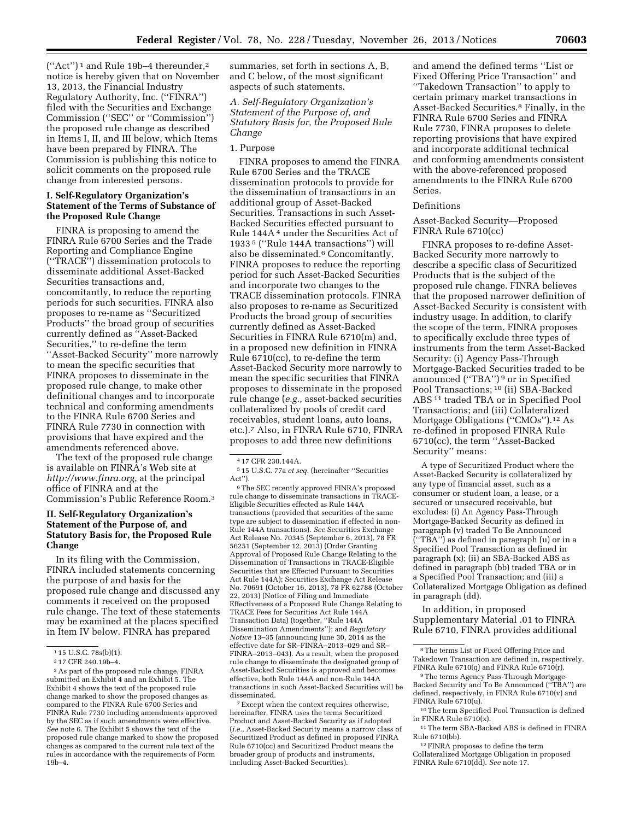$("Act")^1$  and Rule 19b-4 thereunder,<sup>2</sup> notice is hereby given that on November 13, 2013, the Financial Industry Regulatory Authority, Inc. (''FINRA'') filed with the Securities and Exchange Commission (''SEC'' or ''Commission'') the proposed rule change as described in Items I, II, and III below, which Items have been prepared by FINRA. The Commission is publishing this notice to solicit comments on the proposed rule change from interested persons.

## **I. Self-Regulatory Organization's Statement of the Terms of Substance of the Proposed Rule Change**

FINRA is proposing to amend the FINRA Rule 6700 Series and the Trade Reporting and Compliance Engine (''TRACE'') dissemination protocols to disseminate additional Asset-Backed Securities transactions and, concomitantly, to reduce the reporting periods for such securities. FINRA also proposes to re-name as ''Securitized Products'' the broad group of securities currently defined as ''Asset-Backed Securities,'' to re-define the term ''Asset-Backed Security'' more narrowly to mean the specific securities that FINRA proposes to disseminate in the proposed rule change, to make other definitional changes and to incorporate technical and conforming amendments to the FINRA Rule 6700 Series and FINRA Rule 7730 in connection with provisions that have expired and the amendments referenced above.

The text of the proposed rule change is available on FINRA's Web site at *<http://www.finra.org>*, at the principal office of FINRA and at the Commission's Public Reference Room.3

## **II. Self-Regulatory Organization's Statement of the Purpose of, and Statutory Basis for, the Proposed Rule Change**

In its filing with the Commission, FINRA included statements concerning the purpose of and basis for the proposed rule change and discussed any comments it received on the proposed rule change. The text of these statements may be examined at the places specified in Item IV below. FINRA has prepared

summaries, set forth in sections A, B, and C below, of the most significant aspects of such statements.

*A. Self-Regulatory Organization's Statement of the Purpose of, and Statutory Basis for, the Proposed Rule Change* 

#### 1. Purpose

FINRA proposes to amend the FINRA Rule 6700 Series and the TRACE dissemination protocols to provide for the dissemination of transactions in an additional group of Asset-Backed Securities. Transactions in such Asset-Backed Securities effected pursuant to Rule 144A 4 under the Securities Act of 1933 5 (''Rule 144A transactions'') will also be disseminated.<sup>6</sup> Concomitantly, FINRA proposes to reduce the reporting period for such Asset-Backed Securities and incorporate two changes to the TRACE dissemination protocols. FINRA also proposes to re-name as Securitized Products the broad group of securities currently defined as Asset-Backed Securities in FINRA Rule 6710(m) and, in a proposed new definition in FINRA Rule 6710(cc), to re-define the term Asset-Backed Security more narrowly to mean the specific securities that FINRA proposes to disseminate in the proposed rule change (*e.g.,* asset-backed securities collateralized by pools of credit card receivables, student loans, auto loans, etc.).7 Also, in FINRA Rule 6710, FINRA proposes to add three new definitions

 $^{\rm 6}$  The SEC recently approved FINRA's proposed rule change to disseminate transactions in TRACE-Eligible Securities effected as Rule 144A transactions (provided that securities of the same type are subject to dissemination if effected in non-Rule 144A transactions). *See* Securities Exchange Act Release No. 70345 (September 6, 2013), 78 FR 56251 (September 12, 2013) (Order Granting Approval of Proposed Rule Change Relating to the Dissemination of Transactions in TRACE-Eligible Securities that are Effected Pursuant to Securities Act Rule 144A); Securities Exchange Act Release No. 70691 (October 16, 2013), 78 FR 62788 (October 22, 2013) (Notice of Filing and Immediate Effectiveness of a Proposed Rule Change Relating to TRACE Fees for Securities Act Rule 144A Transaction Data) (together, ''Rule 144A Dissemination Amendments''); and *Regulatory Notice* 13–35 (announcing June 30, 2014 as the effective date for SR–FINRA–2013–029 and SR– FINRA–2013–043). As a result, when the proposed rule change to disseminate the designated group of Asset-Backed Securities is approved and becomes effective, both Rule 144A and non-Rule 144A transactions in such Asset-Backed Securities will be disseminated.

7Except when the context requires otherwise, hereinafter, FINRA uses the terms Securitized Product and Asset-Backed Security as if adopted (*i.e.,* Asset-Backed Security means a narrow class of Securitized Product as defined in proposed FINRA Rule 6710(cc) and Securitized Product means the broader group of products and instruments, including Asset-Backed Securities).

and amend the defined terms ''List or Fixed Offering Price Transaction'' and ''Takedown Transaction'' to apply to certain primary market transactions in Asset-Backed Securities.8 Finally, in the FINRA Rule 6700 Series and FINRA Rule 7730, FINRA proposes to delete reporting provisions that have expired and incorporate additional technical and conforming amendments consistent with the above-referenced proposed amendments to the FINRA Rule 6700 Series.

## Definitions

Asset-Backed Security—Proposed FINRA Rule 6710(cc)

FINRA proposes to re-define Asset-Backed Security more narrowly to describe a specific class of Securitized Products that is the subject of the proposed rule change. FINRA believes that the proposed narrower definition of Asset-Backed Security is consistent with industry usage. In addition, to clarify the scope of the term, FINRA proposes to specifically exclude three types of instruments from the term Asset-Backed Security: (i) Agency Pass-Through Mortgage-Backed Securities traded to be announced (''TBA'') 9 or in Specified Pool Transactions; 10 (ii) SBA-Backed ABS 11 traded TBA or in Specified Pool Transactions; and (iii) Collateralized Mortgage Obligations (''CMOs'').12 As re-defined in proposed FINRA Rule 6710(cc), the term ''Asset-Backed Security'' means:

A type of Securitized Product where the Asset-Backed Security is collateralized by any type of financial asset, such as a consumer or student loan, a lease, or a secured or unsecured receivable, but excludes: (i) An Agency Pass-Through Mortgage-Backed Security as defined in paragraph (v) traded To Be Announced (''TBA'') as defined in paragraph (u) or in a Specified Pool Transaction as defined in paragraph (x); (ii) an SBA-Backed ABS as defined in paragraph (bb) traded TBA or in a Specified Pool Transaction; and (iii) a Collateralized Mortgage Obligation as defined in paragraph (dd).

In addition, in proposed Supplementary Material .01 to FINRA Rule 6710, FINRA provides additional

12FINRA proposes to define the term Collateralized Mortgage Obligation in proposed FINRA Rule 6710(dd). *See* note 17.

<sup>1</sup> 15 U.S.C. 78s(b)(1).

<sup>2</sup> 17 CFR 240.19b–4.

<sup>3</sup>As part of the proposed rule change, FINRA submitted an Exhibit 4 and an Exhibit 5. The Exhibit 4 shows the text of the proposed rule change marked to show the proposed changes as compared to the FINRA Rule 6700 Series and FINRA Rule 7730 including amendments approved by the SEC as if such amendments were effective. *See* note 6. The Exhibit 5 shows the text of the proposed rule change marked to show the proposed changes as compared to the current rule text of the rules in accordance with the requirements of Form 19b–4.

<sup>4</sup> 17 CFR 230.144A.

<sup>5</sup> 15 U.S.C. 77a *et seq.* (hereinafter ''Securities Act'').

<sup>8</sup>The terms List or Fixed Offering Price and Takedown Transaction are defined in, respectively, FINRA Rule 6710(q) and FINRA Rule 6710(r).

<sup>9</sup>The terms Agency Pass-Through Mortgage-Backed Security and To Be Announced (''TBA'') are defined, respectively, in FINRA Rule 6710(v) and FINRA Rule 6710(u).

<sup>10</sup>The term Specified Pool Transaction is defined in FINRA Rule  $6710(x)$ .

<sup>11</sup>The term SBA-Backed ABS is defined in FINRA Rule 6710(bb).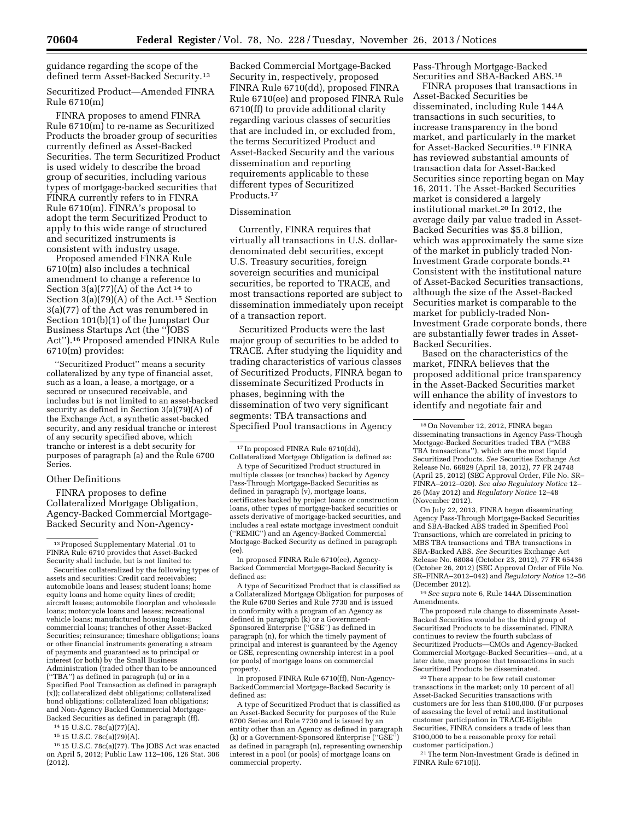guidance regarding the scope of the defined term Asset-Backed Security.13

Securitized Product—Amended FINRA Rule 6710(m)

FINRA proposes to amend FINRA Rule 6710(m) to re-name as Securitized Products the broader group of securities currently defined as Asset-Backed Securities. The term Securitized Product is used widely to describe the broad group of securities, including various types of mortgage-backed securities that FINRA currently refers to in FINRA Rule 6710(m). FINRA's proposal to adopt the term Securitized Product to apply to this wide range of structured and securitized instruments is consistent with industry usage.

Proposed amended FINRA Rule 6710(m) also includes a technical amendment to change a reference to Section 3(a)(77)(A) of the Act<sup>14</sup> to Section 3(a)(79)(A) of the Act.15 Section 3(a)(77) of the Act was renumbered in Section 101(b)(1) of the Jumpstart Our Business Startups Act (the ''JOBS Act'').16 Proposed amended FINRA Rule 6710(m) provides:

''Securitized Product'' means a security collateralized by any type of financial asset, such as a loan, a lease, a mortgage, or a secured or unsecured receivable, and includes but is not limited to an asset-backed security as defined in Section 3(a)(79)(A) of the Exchange Act, a synthetic asset-backed security, and any residual tranche or interest of any security specified above, which tranche or interest is a debt security for purposes of paragraph (a) and the Rule 6700 Series.

#### Other Definitions

FINRA proposes to define Collateralized Mortgage Obligation, Agency-Backed Commercial Mortgage-Backed Security and Non-Agency-

14 15 U.S.C. 78c(a)(77)(A).

15 15 U.S.C. 78c(a)(79)(A).

16 15 U.S.C. 78c(a)(77). The JOBS Act was enacted on April 5, 2012; Public Law 112–106, 126 Stat. 306  $(2012)$ .

Backed Commercial Mortgage-Backed Security in, respectively, proposed FINRA Rule 6710(dd), proposed FINRA Rule 6710(ee) and proposed FINRA Rule 6710(ff) to provide additional clarity regarding various classes of securities that are included in, or excluded from, the terms Securitized Product and Asset-Backed Security and the various dissemination and reporting requirements applicable to these different types of Securitized Products.17

#### Dissemination

Currently, FINRA requires that virtually all transactions in U.S. dollardenominated debt securities, except U.S. Treasury securities, foreign sovereign securities and municipal securities, be reported to TRACE, and most transactions reported are subject to dissemination immediately upon receipt of a transaction report.

Securitized Products were the last major group of securities to be added to TRACE. After studying the liquidity and trading characteristics of various classes of Securitized Products, FINRA began to disseminate Securitized Products in phases, beginning with the dissemination of two very significant segments: TBA transactions and Specified Pool transactions in Agency

A type of Securitized Product structured in multiple classes (or tranches) backed by Agency Pass-Through Mortgage-Backed Securities as defined in paragraph (v), mortgage loans, certificates backed by project loans or construction loans, other types of mortgage-backed securities or assets derivative of mortgage-backed securities, and includes a real estate mortgage investment conduit (''REMIC'') and an Agency-Backed Commercial Mortgage-Backed Security as defined in paragraph (ee).

In proposed FINRA Rule 6710(ee), Agency-Backed Commercial Mortgage-Backed Security is defined as:

A type of Securitized Product that is classified as a Collateralized Mortgage Obligation for purposes of the Rule 6700 Series and Rule 7730 and is issued in conformity with a program of an Agency as defined in paragraph (k) or a Government-Sponsored Enterprise (''GSE'') as defined in paragraph (n), for which the timely payment of principal and interest is guaranteed by the Agency or GSE, representing ownership interest in a pool (or pools) of mortgage loans on commercial property.

In proposed FINRA Rule 6710(ff), Non-Agency-BackedCommercial Mortgage-Backed Security is defined as:

A type of Securitized Product that is classified as an Asset-Backed Security for purposes of the Rule 6700 Series and Rule 7730 and is issued by an entity other than an Agency as defined in paragraph (k) or a Government-Sponsored Enterprise (''GSE'') as defined in paragraph (n), representing ownership interest in a pool (or pools) of mortgage loans on commercial property.

Pass-Through Mortgage-Backed Securities and SBA-Backed ABS.18

FINRA proposes that transactions in Asset-Backed Securities be disseminated, including Rule 144A transactions in such securities, to increase transparency in the bond market, and particularly in the market for Asset-Backed Securities.19 FINRA has reviewed substantial amounts of transaction data for Asset-Backed Securities since reporting began on May 16, 2011. The Asset-Backed Securities market is considered a largely institutional market.20 In 2012, the average daily par value traded in Asset-Backed Securities was \$5.8 billion, which was approximately the same size of the market in publicly traded Non-Investment Grade corporate bonds.21 Consistent with the institutional nature of Asset-Backed Securities transactions, although the size of the Asset-Backed Securities market is comparable to the market for publicly-traded Non-Investment Grade corporate bonds, there are substantially fewer trades in Asset-Backed Securities.

Based on the characteristics of the market, FINRA believes that the proposed additional price transparency in the Asset-Backed Securities market will enhance the ability of investors to identify and negotiate fair and

On July 22, 2013, FINRA began disseminating Agency Pass-Through Mortgage-Backed Securities and SBA-Backed ABS traded in Specified Pool Transactions, which are correlated in pricing to MBS TBA transactions and TBA transactions in SBA-Backed ABS. *See* Securities Exchange Act Release No. 68084 (October 23, 2012), 77 FR 65436 (October 26, 2012) (SEC Approval Order of File No. SR–FINRA–2012–042) and *Regulatory Notice* 12–56 (December 2012).

19*See supra* note 6, Rule 144A Dissemination Amendments.

The proposed rule change to disseminate Asset-Backed Securities would be the third group of Securitized Products to be disseminated. FINRA continues to review the fourth subclass of Securitized Products—CMOs and Agency-Backed Commercial Mortgage-Backed Securities—and, at a later date, may propose that transactions in such Securitized Products be disseminated.

20There appear to be few retail customer transactions in the market; only 10 percent of all Asset-Backed Securities transactions with customers are for less than \$100,000. (For purposes of assessing the level of retail and institutional customer participation in TRACE-Eligible Securities, FINRA considers a trade of less than \$100,000 to be a reasonable proxy for retail customer participation.)

21The term Non-Investment Grade is defined in FINRA Rule 6710(i).

<sup>13</sup>Proposed Supplementary Material .01 to FINRA Rule 6710 provides that Asset-Backed Security shall include, but is not limited to:

Securities collateralized by the following types of assets and securities: Credit card receivables; automobile loans and leases; student loans; home equity loans and home equity lines of credit; aircraft leases; automobile floorplan and wholesale loans; motorcycle loans and leases; recreational vehicle loans; manufactured housing loans; commercial loans; tranches of other Asset-Backed Securities; reinsurance; timeshare obligations; loans or other financial instruments generating a stream of payments and guaranteed as to principal or interest (or both) by the Small Business Administration (traded other than to be announced (''TBA'') as defined in paragraph (u) or in a Specified Pool Transaction as defined in paragraph (x)); collateralized debt obligations; collateralized bond obligations; collateralized loan obligations; and Non-Agency Backed Commercial Mortgage-Backed Securities as defined in paragraph (ff).

<sup>17</sup> In proposed FINRA Rule 6710(dd), Collateralized Mortgage Obligation is defined as:

<sup>18</sup>On November 12, 2012, FINRA began disseminating transactions in Agency Pass-Though Mortgage-Backed Securities traded TBA (''MBS TBA transactions''), which are the most liquid Securitized Products. *See* Securities Exchange Act Release No. 66829 (April 18, 2012), 77 FR 24748 (April 25, 2012) (SEC Approval Order, File No. SR– FINRA–2012–020). *See also Regulatory Notice* 12– 26 (May 2012) and *Regulatory Notice* 12–48 (November 2012).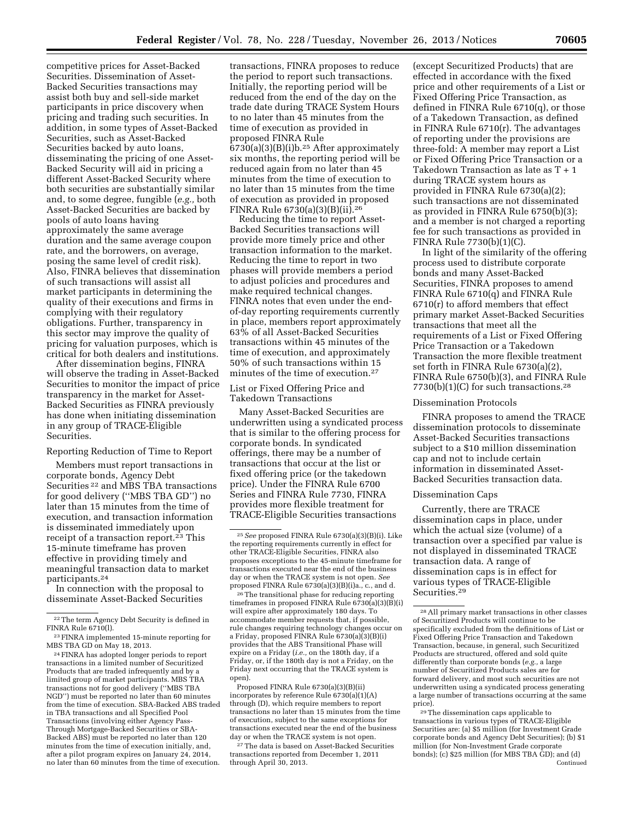competitive prices for Asset-Backed Securities. Dissemination of Asset-Backed Securities transactions may assist both buy and sell-side market participants in price discovery when pricing and trading such securities. In addition, in some types of Asset-Backed Securities, such as Asset-Backed Securities backed by auto loans, disseminating the pricing of one Asset-Backed Security will aid in pricing a different Asset-Backed Security where both securities are substantially similar and, to some degree, fungible (*e.g.,* both Asset-Backed Securities are backed by pools of auto loans having approximately the same average duration and the same average coupon rate, and the borrowers, on average, posing the same level of credit risk). Also, FINRA believes that dissemination of such transactions will assist all market participants in determining the quality of their executions and firms in complying with their regulatory obligations. Further, transparency in this sector may improve the quality of pricing for valuation purposes, which is critical for both dealers and institutions.

After dissemination begins, FINRA will observe the trading in Asset-Backed Securities to monitor the impact of price transparency in the market for Asset-Backed Securities as FINRA previously has done when initiating dissemination in any group of TRACE-Eligible Securities.

#### Reporting Reduction of Time to Report

Members must report transactions in corporate bonds, Agency Debt Securities 22 and MBS TBA transactions for good delivery (''MBS TBA GD'') no later than 15 minutes from the time of execution, and transaction information is disseminated immediately upon receipt of a transaction report.<sup>23</sup> This 15-minute timeframe has proven effective in providing timely and meaningful transaction data to market participants.24

In connection with the proposal to disseminate Asset-Backed Securities

24FINRA has adopted longer periods to report transactions in a limited number of Securitized Products that are traded infrequently and by a limited group of market participants. MBS TBA transactions not for good delivery (''MBS TBA NGD'') must be reported no later than 60 minutes from the time of execution. SBA-Backed ABS traded in TBA transactions and all Specified Pool Transactions (involving either Agency Pass-Through Mortgage-Backed Securities or SBA-Backed ABS) must be reported no later than 120 minutes from the time of execution initially, and, after a pilot program expires on January 24, 2014, no later than 60 minutes from the time of execution.

transactions, FINRA proposes to reduce the period to report such transactions. Initially, the reporting period will be reduced from the end of the day on the trade date during TRACE System Hours to no later than 45 minutes from the time of execution as provided in proposed FINRA Rule 6730(a)(3)(B)(i)b.25 After approximately six months, the reporting period will be reduced again from no later than 45 minutes from the time of execution to no later than 15 minutes from the time of execution as provided in proposed FINRA Rule 6730(a)(3)(B)(ii).26

Reducing the time to report Asset-Backed Securities transactions will provide more timely price and other transaction information to the market. Reducing the time to report in two phases will provide members a period to adjust policies and procedures and make required technical changes. FINRA notes that even under the endof-day reporting requirements currently in place, members report approximately 63% of all Asset-Backed Securities transactions within 45 minutes of the time of execution, and approximately 50% of such transactions within 15 minutes of the time of execution.27

#### List or Fixed Offering Price and Takedown Transactions

Many Asset-Backed Securities are underwritten using a syndicated process that is similar to the offering process for corporate bonds. In syndicated offerings, there may be a number of transactions that occur at the list or fixed offering price (or the takedown price). Under the FINRA Rule 6700 Series and FINRA Rule 7730, FINRA provides more flexible treatment for TRACE-Eligible Securities transactions

26The transitional phase for reducing reporting timeframes in proposed FINRA Rule 6730(a)(3)(B)(i) will expire after approximately 180 days. To accommodate member requests that, if possible, rule changes requiring technology changes occur on a Friday, proposed FINRA Rule 6730(a)(3)(B)(i) provides that the ABS Transitional Phase will expire on a Friday (*i.e.,* on the 180th day, if a Friday, or, if the 180th day is not a Friday, on the Friday next occurring that the TRACE system is open).

Proposed FINRA Rule 6730(a)(3)(B)(ii) incorporates by reference Rule 6730(a)(1)(A) through (D), which require members to report transactions no later than 15 minutes from the time of execution, subject to the same exceptions for transactions executed near the end of the business day or when the TRACE system is not open.

27The data is based on Asset-Backed Securities transactions reported from December 1, 2011 through April 30, 2013.

(except Securitized Products) that are effected in accordance with the fixed price and other requirements of a List or Fixed Offering Price Transaction, as defined in FINRA Rule 6710(q), or those of a Takedown Transaction, as defined in FINRA Rule 6710(r). The advantages of reporting under the provisions are three-fold: A member may report a List or Fixed Offering Price Transaction or a Takedown Transaction as late as T + 1 during TRACE system hours as provided in FINRA Rule 6730(a)(2); such transactions are not disseminated as provided in FINRA Rule 6750(b)(3); and a member is not charged a reporting fee for such transactions as provided in FINRA Rule 7730(b)(1)(C).

In light of the similarity of the offering process used to distribute corporate bonds and many Asset-Backed Securities, FINRA proposes to amend FINRA Rule 6710(q) and FINRA Rule 6710(r) to afford members that effect primary market Asset-Backed Securities transactions that meet all the requirements of a List or Fixed Offering Price Transaction or a Takedown Transaction the more flexible treatment set forth in FINRA Rule 6730(a)(2), FINRA Rule 6750(b)(3), and FINRA Rule  $7730(b)(1)(C)$  for such transactions.<sup>28</sup>

#### Dissemination Protocols

FINRA proposes to amend the TRACE dissemination protocols to disseminate Asset-Backed Securities transactions subject to a \$10 million dissemination cap and not to include certain information in disseminated Asset-Backed Securities transaction data.

## Dissemination Caps

Currently, there are TRACE dissemination caps in place, under which the actual size (volume) of a transaction over a specified par value is not displayed in disseminated TRACE transaction data. A range of dissemination caps is in effect for various types of TRACE-Eligible Securities.29

<sup>22</sup>The term Agency Debt Security is defined in FINRA Rule 6710(l).

<sup>23</sup>FINRA implemented 15-minute reporting for MBS TBA GD on May 18, 2013.

<sup>25</sup>*See* proposed FINRA Rule 6730(a)(3)(B)(i). Like the reporting requirements currently in effect for other TRACE-Eligible Securities, FINRA also proposes exceptions to the 45-minute timeframe for transactions executed near the end of the business day or when the TRACE system is not open. *See*  proposed FINRA Rule 6730(a)(3)(B)(i)a., c., and d.

<sup>28</sup>All primary market transactions in other classes of Securitized Products will continue to be specifically excluded from the definitions of List or Fixed Offering Price Transaction and Takedown Transaction, because, in general, such Securitized Products are structured, offered and sold quite differently than corporate bonds (*e.g.,* a large number of Securitized Products sales are for forward delivery, and most such securities are not underwritten using a syndicated process generating a large number of transactions occurring at the same price).

<sup>29</sup>The dissemination caps applicable to transactions in various types of TRACE-Eligible Securities are: (a) \$5 million (for Investment Grade corporate bonds and Agency Debt Securities); (b) \$1 million (for Non-Investment Grade corporate bonds); (c) \$25 million (for MBS TBA GD); and (d) Continued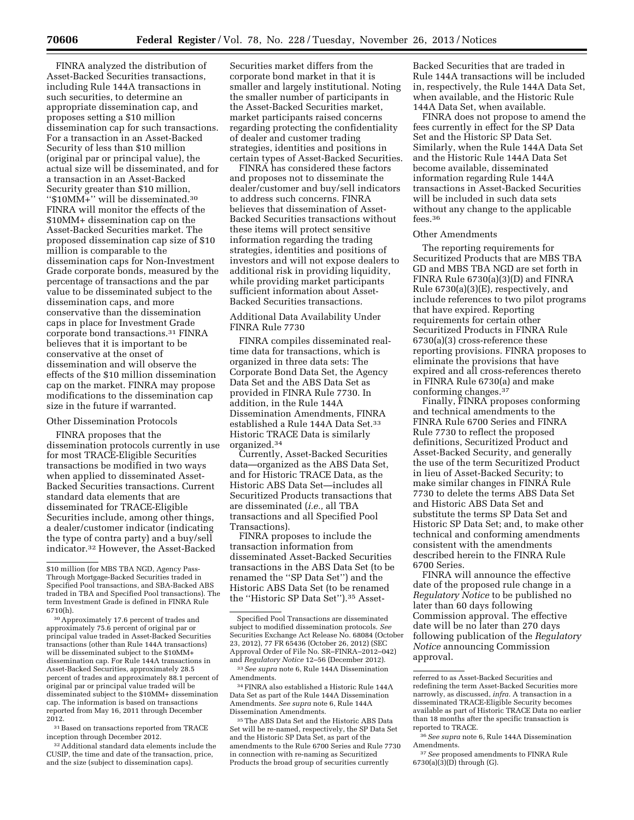FINRA analyzed the distribution of Asset-Backed Securities transactions, including Rule 144A transactions in such securities, to determine an appropriate dissemination cap, and proposes setting a \$10 million dissemination cap for such transactions. For a transaction in an Asset-Backed Security of less than \$10 million (original par or principal value), the actual size will be disseminated, and for a transaction in an Asset-Backed Security greater than \$10 million, ''\$10MM+'' will be disseminated.30 FINRA will monitor the effects of the \$10MM+ dissemination cap on the Asset-Backed Securities market. The proposed dissemination cap size of \$10 million is comparable to the dissemination caps for Non-Investment Grade corporate bonds, measured by the percentage of transactions and the par value to be disseminated subject to the dissemination caps, and more conservative than the dissemination caps in place for Investment Grade corporate bond transactions.31 FINRA believes that it is important to be conservative at the onset of dissemination and will observe the effects of the \$10 million dissemination cap on the market. FINRA may propose modifications to the dissemination cap size in the future if warranted.

# Other Dissemination Protocols

FINRA proposes that the dissemination protocols currently in use for most TRACE-Eligible Securities transactions be modified in two ways when applied to disseminated Asset-Backed Securities transactions. Current standard data elements that are disseminated for TRACE-Eligible Securities include, among other things, a dealer/customer indicator (indicating the type of contra party) and a buy/sell indicator.32 However, the Asset-Backed

30Approximately 17.6 percent of trades and approximately 75.6 percent of original par or principal value traded in Asset-Backed Securities transactions (other than Rule 144A transactions) will be disseminated subject to the \$10MM+ dissemination cap. For Rule 144A transactions in Asset-Backed Securities, approximately 28.5 percent of trades and approximately 88.1 percent of original par or principal value traded will be disseminated subject to the \$10MM+ dissemination cap. The information is based on transactions reported from May 16, 2011 through December 2012.

 $^{\rm 31}\,$  Based on transactions reported from TRACE inception through December 2012.

32Additional standard data elements include the CUSIP, the time and date of the transaction, price, and the size (subject to dissemination caps).

Securities market differs from the corporate bond market in that it is smaller and largely institutional. Noting the smaller number of participants in the Asset-Backed Securities market, market participants raised concerns regarding protecting the confidentiality of dealer and customer trading strategies, identities and positions in certain types of Asset-Backed Securities.

FINRA has considered these factors and proposes not to disseminate the dealer/customer and buy/sell indicators to address such concerns. FINRA believes that dissemination of Asset-Backed Securities transactions without these items will protect sensitive information regarding the trading strategies, identities and positions of investors and will not expose dealers to additional risk in providing liquidity, while providing market participants sufficient information about Asset-Backed Securities transactions.

# Additional Data Availability Under FINRA Rule 7730

FINRA compiles disseminated realtime data for transactions, which is organized in three data sets: The Corporate Bond Data Set, the Agency Data Set and the ABS Data Set as provided in FINRA Rule 7730. In addition, in the Rule 144A Dissemination Amendments, FINRA established a Rule 144A Data Set.33 Historic TRACE Data is similarly organized.34

Currently, Asset-Backed Securities data—organized as the ABS Data Set, and for Historic TRACE Data, as the Historic ABS Data Set—includes all Securitized Products transactions that are disseminated (*i.e.,* all TBA transactions and all Specified Pool Transactions).

FINRA proposes to include the transaction information from disseminated Asset-Backed Securities transactions in the ABS Data Set (to be renamed the ''SP Data Set'') and the Historic ABS Data Set (to be renamed the ''Historic SP Data Set'').35 Asset-

34FINRA also established a Historic Rule 144A Data Set as part of the Rule 144A Dissemination Amendments. *See supra* note 6, Rule 144A Dissemination Amendments.

35The ABS Data Set and the Historic ABS Data Set will be re-named, respectively, the SP Data Set and the Historic SP Data Set, as part of the amendments to the Rule 6700 Series and Rule 7730 in connection with re-naming as Securitized Products the broad group of securities currently

Backed Securities that are traded in Rule 144A transactions will be included in, respectively, the Rule 144A Data Set, when available, and the Historic Rule 144A Data Set, when available.

FINRA does not propose to amend the fees currently in effect for the SP Data Set and the Historic SP Data Set. Similarly, when the Rule 144A Data Set and the Historic Rule 144A Data Set become available, disseminated information regarding Rule 144A transactions in Asset-Backed Securities will be included in such data sets without any change to the applicable fees.<sup>36</sup>

## Other Amendments

The reporting requirements for Securitized Products that are MBS TBA GD and MBS TBA NGD are set forth in FINRA Rule 6730(a)(3)(D) and FINRA Rule 6730(a)(3)(E), respectively, and include references to two pilot programs that have expired. Reporting requirements for certain other Securitized Products in FINRA Rule 6730(a)(3) cross-reference these reporting provisions. FINRA proposes to eliminate the provisions that have expired and all cross-references thereto in FINRA Rule 6730(a) and make conforming changes.37

Finally, FINRA proposes conforming and technical amendments to the FINRA Rule 6700 Series and FINRA Rule 7730 to reflect the proposed definitions, Securitized Product and Asset-Backed Security, and generally the use of the term Securitized Product in lieu of Asset-Backed Security; to make similar changes in FINRA Rule 7730 to delete the terms ABS Data Set and Historic ABS Data Set and substitute the terms SP Data Set and Historic SP Data Set; and, to make other technical and conforming amendments consistent with the amendments described herein to the FINRA Rule 6700 Series.

FINRA will announce the effective date of the proposed rule change in a *Regulatory Notice* to be published no later than 60 days following Commission approval. The effective date will be no later than 270 days following publication of the *Regulatory Notice* announcing Commission approval.

<sup>\$10</sup> million (for MBS TBA NGD, Agency Pass-Through Mortgage-Backed Securities traded in Specified Pool transactions, and SBA-Backed ABS traded in TBA and Specified Pool transactions). The term Investment Grade is defined in FINRA Rule 6710(h).

Specified Pool Transactions are disseminated subject to modified dissemination protocols. *See*  Securities Exchange Act Release No. 68084 (October 23, 2012), 77 FR 65436 (October 26, 2012) (SEC Approval Order of File No. SR–FINRA–2012–042) and *Regulatory Notice* 12–56 (December 2012). 33*See supra* note 6, Rule 144A Dissemination Amendments.

referred to as Asset-Backed Securities and redefining the term Asset-Backed Securities more narrowly, as discussed, *infra.* A transaction in a disseminated TRACE-Eligible Security becomes available as part of Historic TRACE Data no earlier than 18 months after the specific transaction is reported to TRACE.

<sup>36</sup>*See supra* note 6, Rule 144A Dissemination Amendments.

<sup>37</sup>*See* proposed amendments to FINRA Rule  $6730(a)(3)(D)$  through (G).